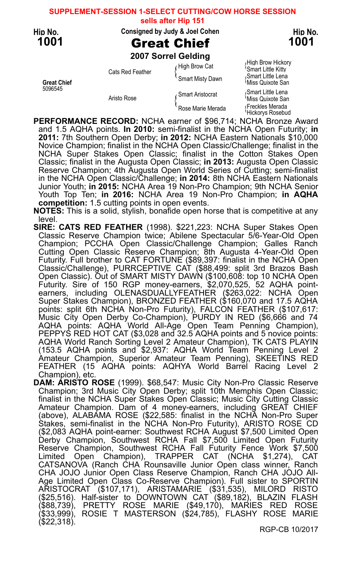**SUPPLEMENT-SESSION 1-SELECT CUTTING/COW HORSE SESSION**

**sells after Hip 151**

### Hip No. Consigned by Judy & Joel Cohen Hip No.

## 1001 Great Chief 1001

2007 Sorrel Gelding

Smart Little Kitty Cats Red Feather ( Smart Misty Dawn Miss Quixote San<br>Smart Misty Dawn ( Smart Miss Quixote San<br>Miss Quixote San

High Brow Hickory (High Brow Hickory)<br>High Brow Cat (Smart Little Kitty

5096545 Smart Little Lena (Smart Aristocrat (Smart Little Lena Smart Little Lena<br>Aristo Rose (Smart Aristocrat (Miss Quixote Sar Aristo Rose Marie Merada<br>Rose Marie Merada<br>
Freckles Merada Rose Marie Merada (Freckles Merada<br>Hickorys Rosebud

PERFORMANCE RECORD: NCHA earner of \$96,714; NCHA Bronze Award and 1.5 AQHA points. In 2010: semi-finalist in the NCHA Open Futurity; in 2011: 7th Southern Open Derby; in 2012: NCHA Eastern Nationals \$10,000 Novice Champion; finalist in the NCHA Open Classic/Challenge; finalist in the NCHA Super Stakes Open Classic; finalist in the Cotton Stakes Open Classic; finalist in the Augusta Open Classic; in 2013: Augusta Open Classic Reserve Champion; 4th Augusta Open World Series of Cutting; semi-finalist in the NCHA Open Classic/Challenge; in 2014: 8th NCHA Eastern Nationals Junior Youth; in 2015: NCHA Area 19 Non-Pro Champion; 9th NCHA Senior Youth Top Ten; in 2016: NCHA Area 19 Non-Pro Champion; in AQHA competition: 1.5 cutting points in open events.

NOTES: This is a solid, stylish, bonafide open horse that is competitive at any level.

SIRE: CATS RED FEATHER (1998). \$221,223: NCHA Super Stakes Open Classic Reserve Champion twice; Abilene Spectacular 5/6-Year-Old Open Champion; PCCHA Open Classic/Challenge Champion; Galles Ranch Cutting Open Classic Reserve Champion; 8th Augusta 4-Year-Old Open Futurity. Full brother to CAT FORTUNE (\$89,397: finalist in the NCHA Open Classic/Challenge), PURRCEPTIVE CAT (\$88,499: split 3rd Brazos Bash Open Classic). Out of SMART MISTY DAWN (\$100,608: top 10 NCHA Open Futurity. Sire of 150 RGP money-earners, \$2,070,525, 52 AQHA pointearners, including OLENASDUALLYFEATHER (\$263,022: NCHA Open Super Stakes Champion), BRONZED FEATHER (\$160,070 and 17.5 AQHA points: split 6th NCHA Non-Pro Futurity), FALCON FEATHER (\$107,617: Music City Open Derby Co-Champion), PURDY IN RED (\$6,666 and 74 AQHA points: AQHA World All-Age Open Team Penning Champion), PEPPYS RED HOT CAT (\$3,028 and 32.5 AQHA points and 5 novice points: AQHA World Ranch Sorting Level 2 Amateur Champion), TK CATS PLAYIN (153.5 AQHA points and \$2,937: AQHA World Team Penning Level 2 Amateur Champion, Superior Amateur Team Penning), SKEETINS RED FEATHER (15 AQHA points: AQHYA World Barrel Racing Level 2 Champion), etc.

DAM: ARISTO ROSE (1999). \$68,547: Music City Non-Pro Classic Reserve Champion; 3rd Music City Open Derby; split 10th Memphis Open Classic; finalist in the NCHA Super Stakes Open Classic; Music City Cutting Classic Amateur Champion. Dam of 4 money-earners, including GREAT CHIEF (above), ALABAMA ROSE (\$22,585: finalist in the NCHA Non-Pro Super Stakes, semi-finalist in the NCHA Non-Pro Futurity), ARISTO ROSE CD (\$2,083 AQHA point-earner: Southwest RCHA August \$7,500 Limited Open Derby Champion, Southwest RCHA Fall \$7,500 Limited Open Futurity Reserve Champion, Southwest RCHA Fall Futurity Fence Work \$7,500 Limited Open Champion), TRAPPER CAT (NCHA \$1,274), CAT CATSANOVA (Ranch CHA Rounsaville Junior Open class winner, Ranch CHA JOJO Junior Open Class Reserve Champion, Ranch CHA JOJO All-Age Limited Open Class Co-Reserve Champion). Full sister to SPORTIN ARISTOCRAT (\$107,171), ARISTAMARIE (\$31,535), MILORD RISTO (\$25,516). Half-sister to DOWNTOWN CAT (\$89,182), BLAZIN FLASH (\$88,739), PRETTY ROSE MARIE (\$49,170), MARIES RED ROSE (\$33,999), ROSIE T MASTERSON (\$24,785), FLASHY ROSE MARIE (\$22,318).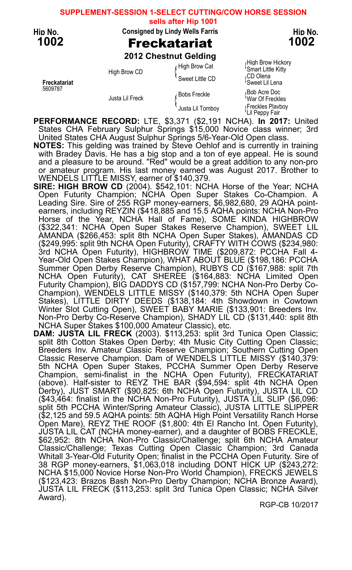### **SUPPLEMENT-SESSION 1-SELECT CUTTING/COW HORSE SESSION**

**sells after Hip 1001**

### Hip No. Consigned by Lindy Wells Farris Thip No. Hip No.

## 1002 Freckatariat 1002

2012 Chestnut Gelding

High Brow Cat (High Brow Hickory)<br>
Smart Little Kitty Smart Little Kitty High Brow CD { CD Olena Sweet Little CD { Freckatariat Sweet Lil Lena

<sup>5609787</sup> Bob Acre Doc Bobs Freckle { Justa Lil Freck War Of Freckles { Freckles Playboy Justa Lil Tomboy { Lil Peppy Fair

PERFORMANCE RECORD: LTE, \$3,371 (\$2,191 NCHA). In 2017: United States CHA February Sulphur Springs \$15,000 Novice class winner; 3rd United States CHA August Sulphur Springs 5/6-Year-Old Open class.

NOTES: This gelding was trained by Steve Oehlof and is currently in training with Bradey Davis. He has a big stop and a ton of eye appeal. He is sound and a pleasure to be around. "Red" would be a great addition to any non-pro or amateur program. His last money earned was August 2017. Brother to WENDELS LITTLE MISSY, earner of \$140,379.

- SIRE: HIGH BROW CD (2004). \$542,101: NCHA Horse of the Year; NCHA Open Futurity Champion; NCHA Open Super Stakes Co-Champion. A Leading Sire. Sire of 255 RGP money-earners, \$6,982,680, 29 AQHA pointearners, including REYZIN (\$418,885 and 15.5 AQHA points: NCHA Non-Pro Horse of the Year, NCHA Hall of Fame), SOME KINDA HIGHBROW (\$322,341: NCHA Open Super Stakes Reserve Champion), SWEET LIL AMANDA (\$266,453: split 8th NCHA Open Super Stakes), AMANDAS CD (\$249,995: split 9th NCHA Open Futurity), CRAFTY WITH COWS (\$234,980: 3rd NCHA Open Futurity), HIGHBROW TIME (\$209,872: PCCHA Fall 4- Year-Old Open Stakes Champion), WHAT ABOUT BLUE (\$198,186: PCCHA Summer Open Derby Reserve Champion), RUBYS CD (\$167,988: split 7th NCHA Open Futurity), CAT SHEREE (\$164,883: NCHA Limited Open Futurity Champion), BIG DADDYS CD (\$157,799: NCHA Non-Pro Derby Co-Champion), WENDELS LITTLE MISSY (\$140,379: 5th NCHA Open Super Stakes), LITTLE DIRTY DEEDS (\$138,184: 4th Showdown in Cowtown Winter Slot Cutting Open), SWEET BABY MARIE (\$133,901: Breeders Inv. Non-Pro Derby Co-Reserve Champion), SHADY LIL CD (\$131,440: split 8th NCHA Super Stakes \$100,000 Amateur Classic), etc.
- DAM: JUSTA LIL FRECK (2003). \$113,253: split 3rd Tunica Open Classic; split 8th Cotton Stakes Open Derby; 4th Music City Cutting Open Classic; Breeders Inv. Amateur Classic Reserve Champion; Southern Cutting Open Classic Reserve Champion. Dam of WENDELS LITTLE MISSY (\$140,379: 5th NCHA Open Super Stakes, PCCHA Summer Open Derby Reserve Champion, semi-finalist in the NCHA Open Futurity), FRECKATARIAT (above). Half-sister to REYZ THE BAR (\$94,594: split 4th NCHA Open Derby), JUST SMART (\$90,825: 6th NCHA Open Futurity), JUSTA LIL CD (\$43,464: finalist in the NCHA Non-Pro Futurity), JUSTA LIL SLIP (\$6,096: split 5th PCCHA Winter/Spring Amateur Classic), JUSTA LITTLE SLIPPER (\$2,125 and 59.5 AQHA points: 5th AQHA High Point Versatility Ranch Horse Open Mare), REYZ THE ROOF (\$1,800: 4th El Rancho Int. Open Futurity), JUSTA LIL CAT (NCHA money-earner), and a daughter of BOBS FRECKLE, \$62,952: 8th NCHA Non-Pro Classic/Challenge; split 6th NCHA Amateur Classic/Challenge; Texas Cutting Open Classic Champion; 3rd Canada Whitall 3-Year-Old Futurity Open; finalist in the PCCHA Open Futurity. Sire of 38 RGP money-earners, \$1,063,018 including DONT HICK UP (\$243,272: NCHA \$15,000 Novice Horse Non-Pro World Champion), FRECKS JEWELS (\$123,423: Brazos Bash Non-Pro Derby Champion; NCHA Bronze Award), JUSTA LIL FRECK (\$113,253: split 3rd Tunica Open Classic; NCHA Silver Award).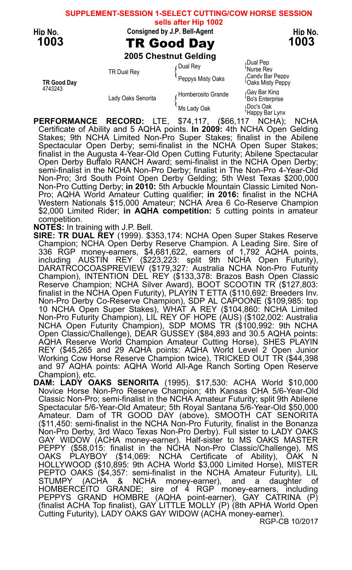#### **SUPPLEMENT-SESSION 1-SELECT CUTTING/COW HORSE SESSION sells after Hip 1002**

Hip No. Consigned by J.P. Bell-Agent Hip No. Here has been held as the Hip No.

1003 TR Good Day 1003

2005 Chestnut Gelding

Continued by Dual Pep (Dual Rey )<br>Consider the Units Rey TR Dual Rey وTR Dual Rey TR Dual Rey وTR Dual Rey TR Dual Rey<br>Candy Bar Peppy Alisty Oaks (Candy Bar Peppy)<br>Oaks Misty Peppy؟ 4743243<br>Lady Oaks Senorita for the discussion of Homberceito Grande  $\frac{1}{100}$ <br>Bo's Enterprise Lady Oaks Senorita<br>Bo's Enterprise {<br>Doc's Oak (Doc's Oak) Ms Lady Oak Happy Bar Lynx

PERFORMANCE RECORD: LTE, \$74,117, (\$66,117 NCHA); NCHA Certificate of Ability and 5 AQHA points. In 2009: 4th NCHA Open Gelding Stakes; 9th NCHA Limited Non-Pro Super Stakes; finalist in the Abilene Spectacular Open Derby; semi-finalist in the NCHA Open Super Stakes; finalist in the Augusta 4-Year-Old Open Cutting Futurity; Abilene Spectacular Open Derby Buffalo RANCH Award; semi-finalist in the NCHA Open Derby; semi-finalist in the NCHA Non-Pro Derby; finalist in The Non-Pro 4-Year-Old Non-Pro; 3rd South Point Open Derby Gelding; 5th West Texas \$200,000 Non-Pro Cutting Derby; in 2010: 5th Arbuckle Mountain Classic Limited Non-Pro; AQHA World Amateur Cutting qualifier; in 2016: finalist in the NCHA Western Nationals \$15,000 Amateur; NCHA Area 6 Co-Reserve Champion \$2,000 Limited Rider; in AQHA competition: 5 cutting points in amateur competition.

NOTES: In training with J.P. Bell.

SIRE: TR DUAL REY (1999). \$353,174: NCHA Open Super Stakes Reserve Champion; NCHA Open Derby Reserve Champion. A Leading Sire. Sire of 336 RGP money-earners, \$4,681,622, earners of 1,792 AQHA points, including AUSTIN REY (\$223,223: split 9th NCHA Open Futurity), DARATŘCOCOASPREVIEW (\$179,327: Australia NCHA Non-Pro Futurity Champion), INTENTION DEL REY (\$133,378: Brazos Bash Open Classic Reserve Champion; NCHA Silver Award), BOOT SCOOTIN TR (\$127,803: finalist in the NCHA Open Futurity), PLAYIN T ETTA (\$110,692: Breeders Inv. Non-Pro Derby Co-Reserve Champion), SDP AL CAPOONE (\$109,985: top 10 NCHA Open Super Stakes), WHAT A REY (\$104,860: NCHA Limited Non-Pro Futurity Champion), LIL REY OF HOPE (AUS) (\$102,002: Australia NCHA Open Futurity Champion), SDP MOMS TR (\$100,992: 9th NCHA Open Classic/Challenge), DEAR GUSSEY (\$84,893 and 30.5 AQHA points: AQHA Reserve World Champion Amateur Cutting Horse), SHES PLAYIN REY (\$45,265 and 29 AQHA points: AQHA World Level 2 Open Junior<br>Working Cow Horse Reserve Champion twice), TRICKED OUT TR (\$44,398 and 97 AQHA points: AQHA World All-Age Ranch Sorting Open Reserve Champion), etc.

DAM: LADY OAKS SENORITA (1995). \$17,530: ACHA World \$10,000 Novice Horse Non-Pro Reserve Champion; 4th Kansas CHA 5/6-Year-Old Classic Non-Pro; semi-finalist in the NCHA Amateur Futurity; split 9th Abilene Spectacular 5/6-Year-Old Amateur; 5th Royal Santana 5/6-Year-Old \$50,000 Amateur. Dam of TR GOOD DAY (above), SMOOTH CAT SENORITA (\$11,450: semi-finalist in the NCHA Non-Pro Futurity, finalist in the Bonanza Non-Pro Derby, 3rd Waco Texas Non-Pro Derby). Full sister to LADY OAKS GAY WIDOW (ACHA money-earner). Half-sister to MS OAKS MASTER PEPPY (\$58,015: finalist in the NCHA Non-Pro Classic/Challenge), MS OAKS PLAYBOY (\$14,069: NCHA Certificate of Ability), OAK N HOLLYWOOD (\$10,895: 9th ACHA World \$3,000 Limited Horse), MISTER PEPTO OAKS (\$4,357: semi-finalist in the NCHA Amateur Futurity), LIL STUMPY (ACHA & NCHA money-earner), and a daughter of HOMBERCEITO GRANDE; sire of 4 RGP money-earners, including PEPPYS GRAND HOMBRE (AQHA point-earner), GAY CATRINA (P) (finalist ACHA Top finalist), GAY LITTLE MOLLY (P) (8th APHA World Open Cutting Futurity), LADY OAKS GAY WIDOW (ACHA money-earner).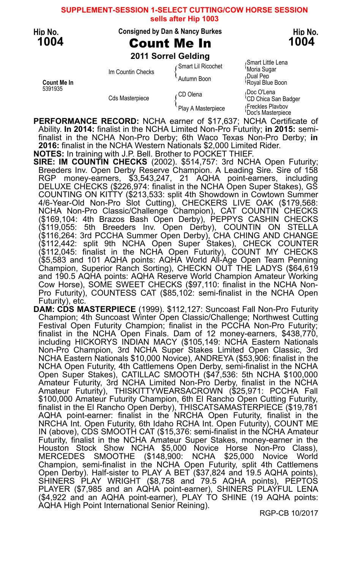**SUPPLEMENT-SESSION 1-SELECT CUTTING/COW HORSE SESSION sells after Hip 1003**

### Hip No. Consigned by Dan & Nancy Burkes Hip No.

## 1004 **Count Me In** 1004

2011 Sorrel Gelding

<sup>5391935</sup> Doc O'Lena CD Olena {

Smart Little Lena (Smart Little Lena In Countin Checks  $\left\{\n \begin{array}{l}\n \text{Smart LiRicochet} \\
 \text{Mona Sugar} \\
 \text{Autumn Boon}\n \end{array}\n\right\}$ Count Me In Royal Blue Boon و Cautumn Boon و Pull Pebluar Pebluar Pen<br>1991 - S391935<br>محمد الله عن الله عن الله عن الله عن الله عن الله عن الله عن الله عن الله عن الله عن الله عن الله عن الله عن ا

Cds Masterpiece (CD Chica Communicum Media CD Chica San Badger<br>Play A Masterpiece (Playbov Playbov Noor's Masterpiece

PERFORMANCE RECORD: NCHA earner of \$17,637; NCHA Certificate of Ability. In 2014: finalist in the NCHA Limited Non-Pro Futurity; in 2015: semifinalist in the NCHA Non-Pro Derby; 6th Waco Texas Non-Pro Derby; in 2016: finalist in the NCHA Western Nationals \$2,000 Limited Rider. NOTES: In training with J.P. Bell. Brother to POCKET THIEF.

SIRE: IM COUNTIN CHECKS (2002). \$514,757: 3rd NCHA Open Futurity; Breeders Inv. Open Derby Reserve Champion. A Leading Sire. Sire of 158 RGP money-earners, \$3,543,247, 21 AQHA point-earners, including DELUXE CHECKS (\$226,974: finalist in the NCHA Open Super Stakes), GS COUNTING ON KITTY (\$213,533: split 4th Showdown in Cowtown Summer 4/6-Year-Old Non-Pro Slot Cutting), CHECKERS LIVE OAK (\$179,568: NCHA Non-Pro Classic/Challenge Champion), CAT COUNTIN CHECKS (\$169,104: 4th Brazos Bash Open Derby), PEPPYS CASHIN CHECKS (\$119,055: 5th Breeders Inv. Open Derby), COUNTIN ON STELLA (\$116,264: 3rd PCCHA Summer Open Derby), CHA CHING AND CHANGE (\$112,442: split 9th NCHA Open Super Stakes), CHECK COUNTER (\$112,045: finalist in the NCHA Open Futurity), COUNT MY CHECKS (\$5,583 and 101 AQHA points: AQHA World All-Age Open Team Penning Champion, Superior Ranch Sorting), CHECKN OUT THE LADYS (\$64,619 and 190.5 AQHA points: AQHA Reserve World Champion Amateur Working

Cow Horse), SOME SWEET CHECKS (\$97,110: finalist in the NCHA Non-Pro Futurity), COUNTESS CAT (\$85,102: semi-finalist in the NCHA Open Futurity), etc.

DAM: CDS MASTERPIECE (1999). \$112,127: Suncoast Fall Non-Pro Futurity Champion; 4th Suncoast Winter Open Classic/Challenge; Northwest Cutting Festival Open Futurity Champion; finalist in the PCCHA Non-Pro Futurity; finalist in the NCHA Open Finals. Dam of 12 money-earners, \$438,770, including HICKORYS INDIAN MACY (\$105,149: NCHA Eastern Nationals Non-Pro Champion, 3rd NCHA Super Stakes Limited Open Classic, 3rd NCHA Eastern Nationals \$10,000 Novice), ANDREYA (\$53,906: finalist in the NCHA Open Futurity, 4th Cattlemens Open Derby, semi-finalist in the NCHA Open Super Stakes), CATILLAC SMOOTH (\$47,536: 5th NCHA \$100,000 Amateur Futurity, 3rd NCHA Limited Non-Pro Derby, finalist in the NCHA Amateur Futurity), THISKITTYWEARSACROWN (\$25,971: PCCHA Fall \$100,000 Amateur Futurity Champion, 6th El Rancho Open Cutting Futurity, finalist in the El Rancho Open Derby), THISCATSAMASTERPIECE (\$19,781 AQHA point-earner: finalist in the NRCHA Open Futurity, finalist in the NRCHA Int. Open Futurity, 6th Idaho RCHA Int. Open Futurity), COUNT ME IN (above), CDS SMOOTH CAT (\$15,376: semi-finalist in the NCHA Amateur Futurity, finalist in the NCHA Amateur Super Stakes, money-earner in the Houston Stock Show NCHA \$5,000 Novice Horse Non-Pro Class), MERCEDES SMOOTHE (\$148,900: NCHA \$25,000 Novice World Champion, semi-finalist in the NCHA Open Futurity, split 4th Cattlemens Open Derby). Half-sister to PLAY A BET (\$37,824 and 19.5 AQHA points), SHINERS PLAY WRIGHT (\$8,758 and 79.5 AQHA points), PEPTOS PLAYER (\$7,985 and an AQHA point-earner), SHINERS PLAYFUL LENA (\$4,922 and an AQHA point-earner), PLAY TO SHINE (19 AQHA points: AQHA High Point International Senior Reining).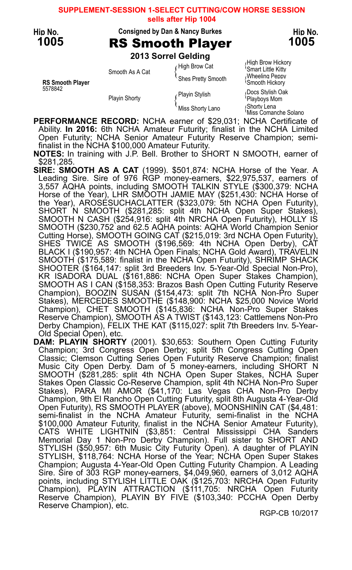### **SUPPLEMENT-SESSION 1-SELECT CUTTING/COW HORSE SESSION sells after Hip 1004**

Hip No. Consigned by Dan & Nancy Burkes Hip No.

# 1005 RS Smooth Player 1005

2013 Sorrel Gelding

Smart Little Kitty<br>Smooth As A Cat {<br>Shes Pretty Smooth { Wheeling Peppy<br>Smooth Hickory RS Smooth Player<br>5578842 <sup>5578842</sup> Docs Stylish Oak Playin Stylish { Playin Stylish (Playin Stylish (Playboys Mom<br>Playboys Mom {Playboys Mom<br>Thiss Shorty Lano {Shorty Lena}

High Brow Hickory (High Brow Hickory)<br>High Brow Cat (Smart Little Kitty

Miss Shorty Lano Shorty Lena {Miss Comanche Solano

PERFORMANCE RECORD: NCHA earner of \$29,031; NCHA Certificate of Ability. In 2016: 6th NCHA Amateur Futurity; finalist in the NCHA Limited Open Futurity; NCHA Senior Amateur Futurity Reserve Champion; semifinalist in the NCHA \$100,000 Amateur Futurity.

NOTES: In training with J.P. Bell. Brother to SHORT N SMOOTH, earner of \$281,285.

- SIRE: SMOOTH AS A CAT (1999). \$501,874: NCHA Horse of the Year. A Leading Sire. Sire of 976 RGP money-earners, \$22,975,537, earners of 3,557 AQHA points, including SMOOTH TALKIN STYLE (\$300,379: NCHA Horse of the Year), LHR SMOOTH JAMIE MAY (\$251,430: NCHA Horse of the Year), AROSESUCHACLATTER (\$323,079: 5th NCHA Open Futurity), SHORT N SMOOTH (\$281,285: split 4th NCHA Open Super Stakes), SMOOTH N CASH (\$254,916: split 4th NRCHA Open Futurity), HOLLY IS SMOOTH (\$230,752 and 62.5 AQHA points: AQHA World Champion Senior Cutting Horse), SMOOTH GOING CAT (\$215,019: 3rd NCHA Open Futurity), SHES TWICE AS SMOOTH (\$196,569: 4th NCHA Open Derby), CAT BLACK I (\$190,957: 4th NCHA Open Finals; NCHA Gold Award), TRAVELIN SMOOTH (\$175,589: finalist in the NCHA Open Futurity), SHRIMP SHACK SHOOTER (\$164,147: split 3rd Breeders Inv. 5-Year-Old Special Non-Pro), KR ISADORA DUAL (\$161,886: NCHA Open Super Stakes Champion), SMOOTH AS I CAN (\$158,353: Brazos Bash Open Cutting Futurity Reserve Champion), BOOZIN SUSAN (\$154,473: split 7th NCHA Non-Pro Super Stakes), MERCEDES SMOOTHE (\$148,900: NCHA \$25,000 Novice World Champion), CHET SMOOTH (\$145,836: NCHA Non-Pro Super Stakes Reserve Champion), SMOOTH AS A TWIST (\$143,123: Cattlemens Non-Pro Derby Champion), FELIX THE KAT (\$115,027: split 7th Breeders Inv. 5-Year-Old Special Open), etc.
- DAM: PLAYIN SHORTY (2001). \$30,653: Southern Open Cutting Futurity Champion; 3rd Congress Open Derby; split 5th Congress Cutting Open Classic; Clemson Cutting Series Open Futurity Reserve Champion; finalist Music City Open Derby. Dam of 5 money-earners, including SHORT N SMOOTH (\$281,285: split 4th NCHA Open Super Stakes, NCHA Super Stakes Open Classic Co-Reserve Champion, split 4th NCHA Non-Pro Super Stakes), PARA MI AMOR (\$41,170: Las Vegas CHA Non-Pro Derby Champion, 9th El Rancho Open Cutting Futurity, split 8th Augusta 4-Year-Old Open Futurity), RS SMOOTH PLAYER (above), MOONSHININ CAT (\$4,481: semi-finalist in the NCHA Amateur Futurity, semi-finalist in the NCHA \$100,000 Amateur Futurity, finalist in the NCHA Senior Amateur Futurity), CATS WHITE LIGHTNIN (\$3,851: Central Mississippi CHA Sanders Memorial Day 1 Non-Pro Derby Champion). Full sister to SHORT AND STYLISH (\$50,957: 6th Music City Futurity Open). A daughter of PLAYIN STYLISH, \$118,764: NCHA Horse of the Year; NCHA Open Super Stakes Champion; Augusta 4-Year-Old Open Cutting Futurity Champion. A Leading Sire. Sire of 303 RGP money-earners, \$4,049,960, earners of 3,012 AQHA points, including STYLISH LITTLE OAK (\$125,703: NRCHA Open Futurity Champion), PLAYIN ATTRACTION (\$111,705: NRCHA Open Futurity Reserve Champion), PLAYIN BY FIVE (\$103,340: PCCHA Open Derby Reserve Champion), etc.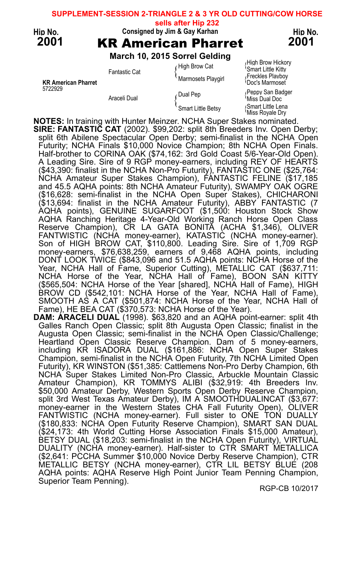### **SUPPLEMENT-SESSION 2-TRIANGLE 2 & 3 YR OLD CUTTING/COW HORSE**

**sells after Hip 232**



KR American Pharret<br>5722929

## Hip No. Consigned by Jim & Gay Karhan Hip No. Here has been held as  $\mathsf{H}$  Consigned by Jim & Gay Karhan 2001 **KR American Pharret** 2001

March 10, 2015 Sorrel Gelding

 $\int$  High Brow Hickory<br> $\int$ High Brow Cat  $\int$  Smart Little Kitty Smart Little Kitty<br>Preckles Playar (Freckles Playbor)<br>Noc's Marmoset Playgirl { Marmoset

Feppy San Badger Araceli Dual Pep [Seppy San Badger Araceli Dual Doc Smart Little Betsy (Smart Little Lena Smart Little Betsy (Smart Little Lena)

NOTES: In training with Hunter Meinzer. NCHA Super Stakes nominated. SIRE: FANTASTIC CAT (2002). \$99,202: split 8th Breeders Inv. Open Derby; split 6th Abilene Spectacular Open Derby; semi-finalist in the NCHA Open Futurity; NCHA Finals \$10,000 Novice Champion; 8th NCHA Open Finals. Half-brother to CORINA OAK (\$74,162: 3rd Gold Coast 5/6-Year-Old Open). A Leading Sire. Sire of 9 RGP money-earners, including REY OF HEARTS (\$43,390: finalist in the NCHA Non-Pro Futurity), FANTASTIC ONE (\$25,764: NCHA Amateur Super Stakes Champion), FANTASTIC FELINE (\$17,185 and 45.5 AQHA points: 8th NCHA Amateur Futurity), SWAMPY OAK OGRE (\$16,628: semi-finalist in the NCHA Open Super Stakes), CHICHARONI (\$13,694: finalist in the NCHA Amateur Futurity), ABBY FANTASTIC (7 AQHA points), GENUINE SUGARFOOT (\$1,500: Houston Stock Show AQHA Ranching Heritage 4-Year-Old Working Ranch Horse Open Class Reserve Champion), CR LA GATA BONITA (ACHA \$1,346), OLIVER FANTWISTIC (NCHA money-earner), KATASTIC (NCHA money-earner). Son of HIGH BROW CAT, \$110,800. Leading Sire. Sire of 1,709 RGP money-earners, \$76,638,259, earners of 9,468 AQHA points, including DONT LOOK TWICE (\$843,096 and 51.5 AQHA points: NCHA Horse of the Year, NCHA Hall of Fame, Superior Cutting), METALLIC CAT (\$637,711: NCHA Horse of the Year, NCHA Hall of Fame), BOON SAN KITTY (\$565,504: NCHA Horse of the Year [shared], NCHA Hall of Fame), HIGH BROW CD (\$542,101: NCHA Horse of the Year, NCHA Hall of Fame), SMOOTH AS A CAT (\$501,874: NCHA Horse of the Year, NCHA Hall of Fame), HE BEA CAT (\$370,573: NCHA Horse of the Year).

DAM: ARACELI DUAL (1998). \$63,820 and an AQHA point-earner: split 4th Galles Ranch Open Classic; split 8th Augusta Open Classic; finalist in the Augusta Open Classic; semi-finalist in the NCHA Open Classic/Challenge; Heartland Open Classic Reserve Champion. Dam of 5 money-earners, including KR ISADORA DUAL (\$161,886: NCHA Open Super Stakes Champion, semi-finalist in the NCHA Open Futurity, 7th NCHA Limited Open Futurity), KR WINSTON (\$51,385: Cattlemens Non-Pro Derby Champion, 6th NCHA Super Stakes Limited Non-Pro Classic, Arbuckle Mountain Classic Amateur Champion), KR TOMMYS ALIBI (\$32,919: 4th Breeders Inv. \$50,000 Amateur Derby, Western Sports Open Derby Reserve Champion, split 3rd West Texas Amateur Derby), IM A SMOOTHDUALINCAT (\$3,677: money-earner in the Western States CHA Fall Futurity Open), OLIVER FANTWISTIC (NCHA money-earner). Full sister to ONE TON DUALLY (\$180,833: NCHA Open Futurity Reserve Champion), SMART SAN DUAL (\$24,173: 4th World Cutting Horse Association Finals \$15,000 Amateur), BETSY DUAL (\$18,203: semi-finalist in the NCHA Open Futurity), VIRTUAL DUALITY (NCHA money-earner). Half-sister to CTR SMART METALLICA (\$2,641: PCCHA Summer \$10,000 Novice Derby Reserve Champion), CTR METALLIC BETSY (NCHA money-earner), CTR LIL BETSY BLUE (208 AQHA points: AQHA Reserve High Point Junior Team Penning Champion, Superior Team Penning).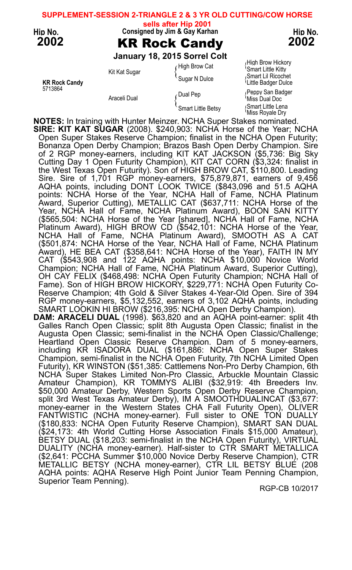## Hip No. Consigned by Jim & Gay Karhan Hip No. Here has been held as  $\mathsf{H}$  Consigned by Jim & Gay Karhan 2002 KR Rock Candy 2002 January 18, 2015 Sorrel Colt High Brow Hickory High Brow Hickory<br>High Brow Cat Smart Little Kitty Smart Little Kitty ( Smart Little Kitty)<br>Sugar N Dulce { Sugar N Dulce { Smart Lill Ricochet<br>Sugar N Dulce { Sulper Dulce { Smart Lill Ricochet Dulce KR Rock Candy **Canadian Control Control Control Control Control Control Control Control Control Control Control Control Control Control Control Control Control Control Control Control Control Control Control Control Contro** Feppy San Badger (Dual Pep { Peppy San Badger }  $\int$  Dual Pep { Peppy San Badger }  $\int$  Miss Dual Doc Smart Little Betsy (Smart Little Lena Smart Little Betsy (Smart Little Lena) **SUPPLEMENT-SESSION 2-TRIANGLE 2 & 3 YR OLD CUTTING/COW HORSE sells after Hip 2001**

NOTES: In training with Hunter Meinzer. NCHA Super Stakes nominated. SIRE: KIT KAT SUGAR (2008). \$240,903: NCHA Horse of the Year; NCHA Open Super Stakes Reserve Champion; finalist in the NCHA Open Futurity; Bonanza Open Derby Champion; Brazos Bash Open Derby Champion. Sire of 2 RGP money-earners, including KIT KAT JACKSON (\$5,736: Big Sky Cutting Day 1 Open Futurity Champion), KIT CAT CORN (\$3,324: finalist in the West Texas Open Futurity). Son of HIGH BROW CAT, \$110,800. Leading Sire. Sire of 1,701 RGP money-earners, \$75,879,871, earners of 9,456 AQHA points, including DONT LOOK TWICE (\$843,096 and 51.5 AQHA points: NCHA Horse of the Year, NCHA Hall of Fame, NCHA Platinum Award, Superior Cutting), METALLIC CAT (\$637,711: NCHA Horse of the Year, NCHA Hall of Fame, NCHA Platinum Award), BOON SAN KITTY (\$565,504: NCHA Horse of the Year [shared], NCHA Hall of Fame, NCHA Platinum Award), HIGH BROW CD (\$542,101: NCHA Horse of the Year, NCHA Hall of Fame, NCHA Platinum Award), SMOOTH AS A CAT (\$501,874: NCHA Horse of the Year, NCHA Hall of Fame, NCHA Platinum Award), HE BEA CAT (\$358,641: NCHA Horse of the Year), FAITH IN MY CAT (\$543,908 and 122 AQHA points: NCHA \$10,000 Novice World Champion; NCHA Hall of Fame, NCHA Platinum Award, Superior Cutting), OH CAY FELIX (\$468,498: NCHA Open Futurity Champion; NCHA Hall of Fame). Son of HIGH BROW HICKORY, \$229,771: NCHA Open Futurity Co-Reserve Champion; 4th Gold & Silver Stakes 4-Year-Old Open. Sire of 394 RGP money-earners, \$5,132,552, earners of 3,102 AQHA points, including SMART LOOKIN HI BROW (\$216,395: NCHA Open Derby Champion). DAM: ARACELI DUAL (1998). \$63,820 and an AQHA point-earner: split 4th Galles Ranch Open Classic; split 8th Augusta Open Classic; finalist in the Augusta Open Classic; semi-finalist in the NCHA Open Classic/Challenge; Heartland Open Classic Reserve Champion. Dam of 5 money-earners, including KR ISADORA DUAL (\$161,886: NCHA Open Super Stakes Champion, semi-finalist in the NCHA Open Futurity, 7th NCHA Limited Open Futurity), KR WINSTON (\$51,385: Cattlemens Non-Pro Derby Champion, 6th NCHA Super Stakes Limited Non-Pro Classic, Arbuckle Mountain Classic Amateur Champion), KR TOMMYS ALIBI (\$32,919: 4th Breeders Inv. \$50,000 Amateur Derby, Western Sports Open Derby Reserve Champion, split 3rd West Texas Amateur Derby), IM A SMOOTHDUALINCAT (\$3,677: money-earner in the Western States CHA Fall Futurity Open), OLIVER FANTWISTIC (NCHA money-earner). Full sister to ONE TON DUALLY (\$180,833: NCHA Open Futurity Reserve Champion), SMART SAN DUAL (\$24,173: 4th World Cutting Horse Association Finals \$15,000 Amateur), BETSY DUAL (\$18,203: semi-finalist in the NCHA Open Futurity), VIRTUAL DUALITY (NCHA money-earner). Half-sister to CTR SMART METALLICA (\$2,641: PCCHA Summer \$10,000 Novice Derby Reserve Champion), CTR METALLIC BETSY (NCHA money-earner), CTR LIL BETSY BLUE (208 AQHA points: AQHA Reserve High Point Junior Team Penning Champion, Superior Team Penning).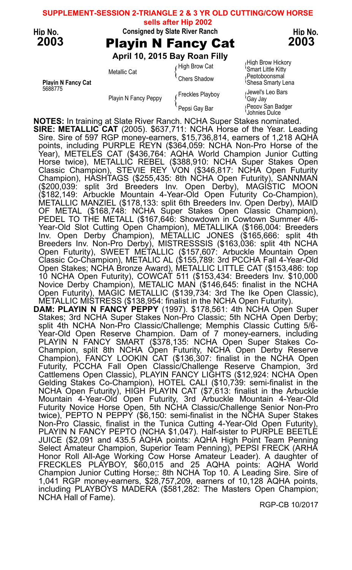### **SUPPLEMENT-SESSION 2-TRIANGLE 2 & 3 YR OLD CUTTING/COW HORSE**

**sells after Hip 2002**



Hip No. Consigned by Slate River Ranch Hip No. Here Ranch Hip No.

2003 Playin N Fancy Cat 2003

April 10, 2015 Bay Roan Filly

Freckles Playboy (Freckles Playboy (Say Jay Jewel's Leo Bars

High Brow Cat (High Brow Hickory)<br>A Smart Little Kitty Smart Little Kitty Metallic Cat function of the Chers Smart Little Kitty<br>Chers Shadow (Chers Shadow (Peptoboonsmal Chers Smarty) Playin N Fancy Cat **Shepart Contract Contract Contract Contract Contract Contract Contract Contract Contract Contract Contract Contract Contract Contract Contract Contract Contract Contract Contract Contract Contract Contr** 

repsi Gay Bar **Peppy San Badger** Johnies Dulce

NOTES: In training at Slate River Ranch. NCHA Super Stakes nominated. SIRE: METALLIC CAT (2005). \$637,711: NCHA Horse of the Year. Leading Sire. Sire of 597 RGP money-earners, \$15,736,814, earners of 1,218 AQHA points, including PURPLE REYN (\$364,059: NCHA Non-Pro Horse of the Year), METELES CAT (\$436,764: AQHA World Champion Junior Cutting Horse twice), METALLIC REBEL (\$388,910: NCHA Super Stakes Open Classic Champion), STEVIE REY VON (\$346,817: NCHA Open Futurity Champion), HASHTAGS (\$255,435: 8th NCHA Open Futurity), SANNMAN (\$200,039: split 3rd Breeders Inv. Open Derby), MAGISTIC MOON (\$182,149: Arbuckle Mountain 4-Year-Old Open Futurity Co-Champion), METALLIC MANZIEL (\$178,133: split 6th Breeders Inv. Open Derby), MAID OF METAL (\$168,748: NCHA Super Stakes Open Classic Champion), PEDEL TO THE METALL (\$167,646: Showdown in Cowtown Summer 4/6- Year-Old Slot Cutting Open Champion), METALLIKA (\$166,004: Breeders Inv. Open Derby Champion), METALLIC JONES (\$165,666: split 4th Breeders Inv. Non-Pro Derby), MISTRESSSIS (\$163,036: split 4th NCHA Open Futurity), SWEET METALLIC (\$157,607: Arbuckle Mountain Open Classic Co-Champion), METALIC AL (\$155,789: 3rd PCCHA Fall 4-Year-Old Open Stakes; NCHA Bronze Award), METALLIC LITTLE CAT (\$153,486: top 10 NCHA Open Futurity), COWCAT 511 (\$153,434: Breeders Inv. \$10,000 Novice Derby Champion), METALIC MAN (\$146,645: finalist in the NCHA Open Futurity), MAGIC METALLIC (\$139,734: 3rd The Ike Open Classic), METALLIC MISTRESS (\$138,954: finalist in the NCHA Open Futurity). DAM: PLAYIN N FANCY PEPPY (1997). \$178,561: 4th NCHA Open Super

Stakes; 3rd NCHA Super Stakes Non-Pro Classic; 5th NCHA Open Derby; split 4th NCHA Non-Pro Classic/Challenge; Memphis Classic Cutting 5/6- Year-Old Open Reserve Champion. Dam of 7 money-earners, including PLAYIN N FANCY SMART (\$378,135: NCHA Open Super Stakes Co-Champion, split 8th NCHA Open Futurity, NCHA Open Derby Reserve Champion), FANCY LOOKIN CAT (\$136,307: finalist in the NCHA Open Futurity, PCCHA Fall Open Classic/Challenge Reserve Champion, 3rd Cattlemens Open Classic), PLAYIN FANCY LIGHTS (\$12,924: NCHA Open Gelding Stakes Co-Champion), HOTEL CALI (\$10,739: semi-finalist in the NCHA Open Futurity), HIGH PLAYIN CAT (\$7,613: finalist in the Arbuckle Mountain 4-Year-Old Open Futurity, 3rd Arbuckle Mountain 4-Year-Old Futurity Novice Horse Open, 5th NCHA Classic/Challenge Senior Non-Pro twice), PEPTO N PEPPY (\$6,150: semi-finalist in the NCHA Super Stakes Non-Pro Classic, finalist in the Tunica Cutting 4-Year-Old Open Futurity), PLAYIN N FANCY PEPTO (NCHA \$1,047). Half-sister to PURPLE BEETLE JUICE (\$2,091 and 435.5 AQHA points: AQHA High Point Team Penning Select Amateur Champion, Superior Team Penning), PEPSI FRECK (ARHA Honor Roll All-Age Working Cow Horse Amateur Leader). A daughter of FRECKLES PLAYBOY, \$60,015 and 25 AQHA points: AQHA World Champion Junior Cutting Horse;: 8th NCHA Top 10. A Leading Sire. Sire of 1,041 RGP money-earners, \$28,757,209, earners of 10,128 AQHA points, including PLAYBOYS MADERA (\$581,282: The Masters Open Champion; NCHA Hall of Fame).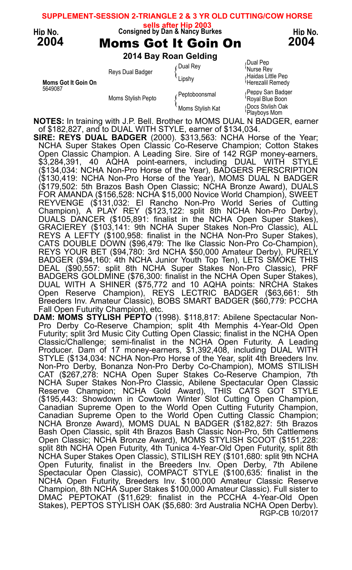|                       |                    |                                                                                       | SUPPLEMENT-SESSION 2-TRIANGLE 2 & 3 YR OLD CUTTING/COW HORSE |  |  |  |  |  |  |
|-----------------------|--------------------|---------------------------------------------------------------------------------------|--------------------------------------------------------------|--|--|--|--|--|--|
| Hip No.<br>2004       |                    | sells after Hip 2003<br>Consigned by Dan & Nancy Burkes<br><b>Moms Got It Goin On</b> | Hip No.<br>2004                                              |  |  |  |  |  |  |
| 2014 Bay Roan Gelding |                    |                                                                                       |                                                              |  |  |  |  |  |  |
|                       | Reys Dual Badger   | ∫Dual Rey                                                                             | Dual Pep<br><sup>i</sup> Nurse Rev                           |  |  |  |  |  |  |
| Moms Got It Goin On   |                    | Lipshy                                                                                | ∧Haidas Little Pep<br>Herezalil Remedy                       |  |  |  |  |  |  |
| 5649087               | Moms Stylish Pepto | Peptoboonsmal                                                                         | Peppy San Badger<br>Royal Blue Boon                          |  |  |  |  |  |  |
|                       |                    | Moms Stylish Kat                                                                      | Docs Stvlish Oak<br>Playboys Mom                             |  |  |  |  |  |  |
|                       |                    |                                                                                       |                                                              |  |  |  |  |  |  |

NOTES: In training with J.P. Bell. Brother to MOMS DUAL N BADGER, earner of \$182,827, and to DUAL WITH STYLE, earner of \$134,034.

SIRE: REYS DUAL BADGER (2000). \$313,563: NCHA Horse of the Year; NCHA Super Stakes Open Classic Co-Reserve Champion; Cotton Stakes Open Classic Champion. A Leading Sire. Sire of 142 RGP money-earners, \$3,284,391, 40 AQHA point-earners, including DUAL WITH STYLE (\$134,034: NCHA Non-Pro Horse of the Year), BADGERS PERSCRIPTION (\$130,419: NCHA Non-Pro Horse of the Year), MOMS DUAL N BADGER (\$179,502: 5th Brazos Bash Open Classic; NCHA Bronze Award), DUALS FOR AMANDA (\$156,528: NCHA \$15,000 Novice World Champion), SWEET REYVENGE (\$131,032: El Rancho Non-Pro World Series of Cutting Champion), A PLAY REY (\$123,122: split 8th NCHA Non-Pro Derby), DUALS DANCER (\$105,891: finalist in the NCHA Open Super Stakes), GRACIEREY (\$103,141: 9th NCHA Super Stakes Non-Pro Classic), ALL REYS A LEFTY (\$100,958: finalist in the NCHA Non-Pro Super Stakes), CATS DOUBLE DOWN (\$96,479: The Ike Classic Non-Pro Co-Champion), REYS YOUR BET (\$94,780: 3rd NCHA \$50,000 Amateur Derby), PURELY BADGER (\$94,160: 4th NCHA Junior Youth Top Ten), LETS SMOKE THIS DEAL (\$90,557: split 8th NCHA Super Stakes Non-Pro Classic), PRF BADGERS GOLDMINE (\$76,300: finalist in the NCHA Open Super Stakes), DUAL WITH A SHINER (\$75,772 and 10 AQHA points: NRCHA Stakes Open Reserve Champion), REYS LECTRIC BADGER (\$63,661: 5th Breeders Inv. Amateur Classic), BOBS SMART BADGER (\$60,779: PCCHA Fall Open Futurity Champion), etc.

DAM: MOMS STYLISH PEPTO (1998). \$118,817: Abilene Spectacular Non-Pro Derby Co-Reserve Champion; split 4th Memphis 4-Year-Old Open Futurity; split 3rd Music City Cutting Open Classic; finalist in the NCHA Open Classic/Challenge; semi-finalist in the NCHA Open Futurity. A Leading Producer. Dam of 17 money-earners, \$1,392,408, including DUAL WITH STYLE (\$134,034: NCHA Non-Pro Horse of the Year, split 4th Breeders Inv. Non-Pro Derby, Bonanza Non-Pro Derby Co-Champion), MOMS STILISH CAT (\$267,278: NCHA Open Super Stakes Co-Reserve Champion, 7th NCHA Super Stakes Non-Pro Classic, Abilene Spectacular Open Classic Reserve Champion; NCHA Gold Award), THIS CATS GOT STYLE (\$195,443: Showdown in Cowtown Winter Slot Cutting Open Champion, Canadian Supreme Open to the World Open Cutting Futurity Champion, Canadian Supreme Open to the World Open Cutting Classic Champion; NCHA Bronze Award), MOMS DUAL N BADGER (\$182,827: 5th Brazos Bash Open Classic, split 4th Brazos Bash Classic Non-Pro, 5th Cattlemens Open Classic; NCHA Bronze Award), MOMS STYLISH SCOOT (\$151,228: split 8th NCHA Open Futurity, 4th Tunica 4-Year-Old Open Futurity, split 8th NCHA Super Stakes Open Classic), STILISH REY (\$101,680: split 9th NCHA Open Futurity, finalist in the Breeders Inv. Open Derby, 7th Abilene Spectacular Open Classic), COMPACT STYLE (\$100,635: finalist in the NCHA Open Futurity, Breeders Inv. \$100,000 Amateur Classic Reserve Champion, 8th NCHA Super Stakes \$100,000 Amateur Classic). Full sister to DMAC PEPTOKAT (\$11,629: finalist in the PCCHA 4-Year-Old Open Stakes), PEPTOS STYLISH OAK (\$5,680: 3rd Australia NCHA Open Derby). RGP-CB 10/2017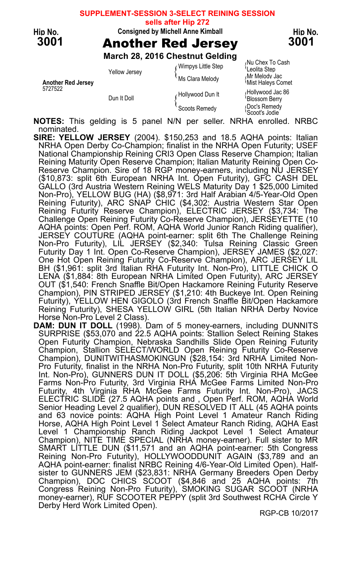#### **SUPPLEMENT-SESSION 3-SELECT REINING SESSION**

**sells after Hip 272**



### Hip No. Consigned by Michell Anne Kimball No. Hip No.

3001 Another Red Jersey 3001

|                                      |                      | March 28, 2016 Chestnut Gelding       |                                                                                    |
|--------------------------------------|----------------------|---------------------------------------|------------------------------------------------------------------------------------|
| <b>Another Red Jersey</b><br>5727522 | <b>Yellow Jersey</b> | Wimpys Little Step<br>Ms Clara Melody | Nu Chex To Cash<br><sup>t</sup> Leolita Step<br>Mr Melody Jac<br>Mist Haleys Comet |
|                                      | Dun It Doll          | Hollywood Dun It                      | Hollywood Jac 86<br>Blossom Berry                                                  |
|                                      |                      | Scoots Remedy                         | Doc's Remedy<br>Scoot's Jodie                                                      |
|                                      | .                    | <br>.                                 | .                                                                                  |

NOTES: This gelding is 5 panel N/N per seller. NRHA enrolled. NRBC nominated.

- SIRE: YELLOW JERSEY (2004). \$150,253 and 18.5 AQHA points: Italian NRHA Open Derby Co-Champion; finalist in the NRHA Open Futurity; USEF National Championship Reining CRI3 Open Class Reserve Champion; Italian Reining Maturity Open Reserve Champion; Italian Maturity Reining Open Co-Reserve Champion. Sire of 18 RGP money-earners, including NU JERSEY (\$10,873: split 6th European NRHA Int. Open Futurity), GFC CASH DEL GALLO (3rd Austria Western Reining WELS Maturity Day 1 \$25,000 Limited Non-Pro), YELLOW BUG (HA) (\$8,971: 3rd Half Arabian 4/5-Year-Old Open Reining Futurity), ARC SNAP CHIC (\$4,302: Austria Western Star Open Reining Futurity Reserve Champion), ELECTRIC JERSEY (\$3,734: The Challenge Open Reining Futurity Co-Reserve Champion), JERSEYETTE (10 AQHA points: Open Perf. ROM, AQHA World Junior Ranch Riding qualifier), JERSEY COUTURE (AQHA point-earner: split 6th The Challenge Reining Non-Pro Futurity), LIL JERSEY (\$2,340: Tulsa Reining Classic Green Futurity Day 1 Int. Open Co-Reserve Champion), JERSEY JAMES (\$2,027: One Hot Open Reining Futurity Co-Reserve Champion), ARC JERSEY LIL BH (\$1,961: split 3rd Italian RHA Futurity Int. Non-Pro), LITTLE CHICK O LENA (\$1,884: 8th European NRHA Limited Open Futurity), ARC JERSEY OUT (\$1,540: French Snaffle Bit/Open Hackamore Reining Futurity Reserve Champion), PIN STRIPED JERSEY (\$1,210: 4th Buckeye Int. Open Reining Futurity), YELLOW HEN GIGOLO (3rd French Snaffle Bit/Open Hackamore Reining Futurity), SHESA YELLOW GIRL (5th Italian NRHA Derby Novice Horse Non-Pro Level 2 Class).
- DAM: DUN IT DOLL (1998). Dam of 5 money-earners, including DUNNITS SURPRISE (\$53,070 and 22.5 AQHA points: Stallion Select Reining Stakes Open Futurity Champion, Nebraska Sandhills Slide Open Reining Futurity Champion, Stallion SELECT/WORLD Open Reining Futurity Co-Reserve Champion), DUNITWITHASMOKINGUN (\$28,154: 3rd NRHA Limited Non-Pro Futurity, finalist in the NRHA Non-Pro Futurity, split 10th NRHA Futurity Int. Non-Pro), GUNNERS DUN IT DOLL (\$5,206: 5th Virginia RHA McGee Farms Non-Pro Futurity, 3rd Virginia RHA McGee Farms Limited Non-Pro Futurity, 4th Virginia RHA McGee Farms Futurity Int. Non-Pro), JACS ELECTRIC SLIDE (27.5 AQHA points and , Open Perf. ROM, AQHA World Senior Heading Level 2 qualifier), DUN RESOLVED IT ALL (45 AQHA points and 63 novice points: AQHA High Point Level 1 Amateur Ranch Riding Horse, AQHA High Point Level 1 Select Amateur Ranch Riding, AQHA East Level 1 Championship Ranch Riding Jackpot Level 1 Select Amateur Champion), NITE TIME SPECIAL (NRHA money-earner). Full sister to MR SMART LITTLE DUN (\$11,571 and an AQHA point-earner: 5th Congress Reining Non-Pro Futurity), HOLLYWOODDUNIT AGAIN (\$3,789 and an AQHA point-earner: finalist NRBC Reining 4/6-Year-Old Limited Open). Halfsister to GUNNERS JEM (\$23,831: NRHA Germany Breeders Open Derby Champion), DOC CHICS SCOOT (\$4,846 and 25 AQHA points: 7th Congress Reining Non-Pro Futurity), SMOKING SUGAR SCOOT (NRHA money-earner), RUF SCOOTER PEPPY (split 3rd Southwest RCHA Circle Y Derby Herd Work Limited Open).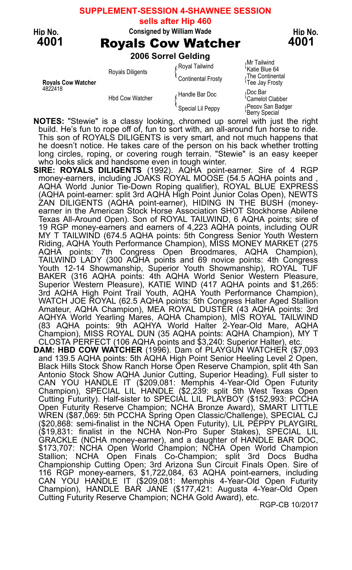### **SUPPLEMENT-SESSION 4-SHAWNEE SESSION**

**sells after Hip 460**

#### Hip No. Consigned by William Wade **Hip No.** Hip No.

4001 **Royals Cow Watcher** 4001

2006 Sorrel Gelding

| <b>Rovals Cow Watcher</b> | <b>Royals Diligents</b> | Royal Tailwind<br>Continental Frosty | Mr Tailwind<br>'Katie Blue 64<br>The Continental<br>Tee Jay Frosty |
|---------------------------|-------------------------|--------------------------------------|--------------------------------------------------------------------|
| 4822418                   | <b>Hbd Cow Watcher</b>  | Handle Bar Doc                       | Doc Bar،<br><sup>t</sup> Camelot Clabber                           |
|                           |                         | Special Lil Peppy                    | (Penny San Badger<br>'Berry Special                                |
|                           |                         |                                      |                                                                    |

**NOTES:** "Stewie" is a classy looking, chromed up sorrel with just the right build. He's fun to rope off of, fun to sort with, an all-around fun horse to ride. This son of ROYALS DILIGENTS is very smart, and not much happens that he doesn't notice. He takes care of the person on his back whether trotting long circles, roping, or covering rough terrain. "Stewie" is an easy keeper who looks slick and handsome even in tough winter.

- SIRE: ROYALS DILIGENTS (1992). AQHA point-earner. Sire of 4 RGP money-earners, including JOAKS ROYAL MOOSE (54.5 AQHA points and , AQHA World Junior Tie-Down Roping qualifier), ROYAL BLUE EXPRESS (AQHA point-earner: split 3rd AQHA High Point Junior Colas Open), NEWTS ZAN DILIGENTS (AQHA point-earner), HIDING IN THE BUSH (moneyearner in the American Stock Horse Association SHOT Stockhorse Abilene Texas All-Around Open). Son of ROYAL TAILWIND, 6 AQHA points; sire of 19 RGP money-earners and earners of 4,223 AQHA points, including OUR MY T TAILWIND (674.5 AQHA points: 5th Congress Senior Youth Western Riding, AQHA Youth Performance Champion), MISS MONEY MARKET (275 AQHA points: 7th Congress Open Broodmares, AQHA Champion), TAILWIND LADY (300 AQHA points and 69 novice points: 4th Congress Youth 12-14 Showmanship, Superior Youth Showmanship), ROYAL TUF BAKER (316 AQHA points: 4th AQHA World Senior Western Pleasure, Superior Western Pleasure), KATIE WIND (417 AQHA points and \$1,265: 3rd AQHA High Point Trail Youth, AQHA Youth Performance Champion), WATCH JOE ROYAL (62.5 AQHA points: 5th Congress Halter Aged Stallion Amateur, AQHA Champion), MEA ROYAL DUSTER (43 AQHA points: 3rd AQHYA World Yearling Mares, AQHA Champion), MIS ROYAL TAILWIND (83 AQHA points: 9th AQHYA World Halter 2-Year-Old Mare, AQHA Champion), MISS ROYAL DUN (35 AQHA points: AQHA Champion), MY T CLOSTA PERFECT (106 AQHA points and \$3,240: Superior Halter), etc.
- DAM: HBD COW WATCHER (1996). Dam of PLAYGUN WATCHER (\$7,093 and 139.5 AQHA points: 5th AQHA High Point Senior Heeling Level 2 Open, Black Hills Stock Show Ranch Horse Open Reserve Champion, split 4th San Antonio Stock Show AQHA Junior Cutting, Superior Heading). Full sister to CAN YOU HANDLE IT (\$209,081: Memphis 4-Year-Old Open Futurity Champion), SPECIAL LIL HANDLE (\$2,239: split 5th West Texas Open Cutting Futurity). Half-sister to SPECIAL LIL PLAYBOY (\$152,993: PCCHA Open Futurity Reserve Champion; NCHA Bronze Award), SMART LITTLE<br>WREN (\$87,069: 5th PCCHA Spring Open Classic/Challenge), SPECIAL CJ (\$20,868: semi-finalist in the NCHA Open Futurity), LIL PEPPY PLAYGIRL (\$19,831: finalist in the NCHA Non-Pro Super Stakes), SPECIAL LIL GRACKLE (NCHA money-earner), and a daughter of HANDLE BAR DOC, \$173,707: NCHA Open World Champion; NCHA Open World Champion Stallion; NCHA Open Finals Co-Champion; split 3rd Docs Budha Championship Cutting Open; 3rd Arizona Sun Circuit Finals Open. Sire of 116 RGP money-earners, \$1,722,084, 63 AQHA point-earners, including CAN YOU HANDLE IT (\$209,081: Memphis 4-Year-Old Open Futurity Champion), HANDLE BAR JANE (\$177,421: Augusta 4-Year-Old Open Cutting Futurity Reserve Champion; NCHA Gold Award), etc.